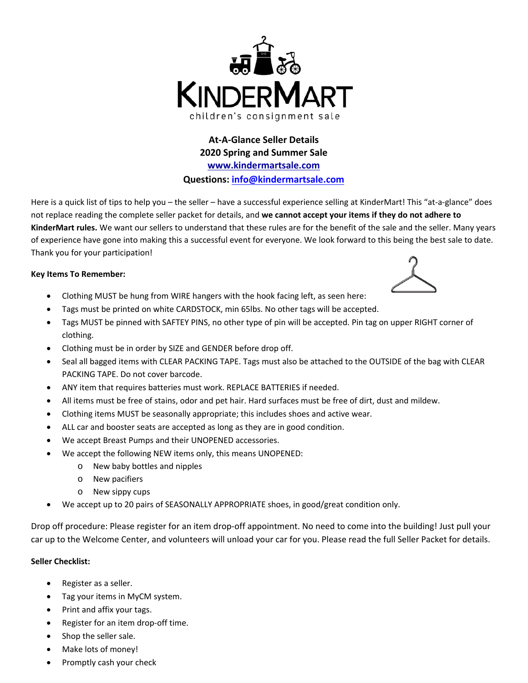

**At‐A‐Glance Seller Details 2020 Spring and Summer Sale www.kindermartsale.com Questions: info@kindermartsale.com**

Here is a quick list of tips to help you – the seller – have a successful experience selling at KinderMart! This "at-a-glance" does not replace reading the complete seller packet for details, and **we cannot accept your items if they do not adhere to KinderMart rules.** We want our sellers to understand that these rules are for the benefit of the sale and the seller. Many years of experience have gone into making this a successful event for everyone. We look forward to this being the best sale to date. Thank you for your participation!

## **Key Items To Remember:**

- Clothing MUST be hung from WIRE hangers with the hook facing left, as seen here:
- Tags must be printed on white CARDSTOCK, min 65lbs. No other tags will be accepted.
- Tags MUST be pinned with SAFTEY PINS, no other type of pin will be accepted. Pin tag on upper RIGHT corner of clothing.
- Clothing must be in order by SIZE and GENDER before drop off.
- Seal all bagged items with CLEAR PACKING TAPE. Tags must also be attached to the OUTSIDE of the bag with CLEAR PACKING TAPE. Do not cover barcode.
- ANY item that requires batteries must work. REPLACE BATTERIES if needed.
- All items must be free of stains, odor and pet hair. Hard surfaces must be free of dirt, dust and mildew.
- Clothing items MUST be seasonally appropriate; this includes shoes and active wear.
- ALL car and booster seats are accepted as long as they are in good condition.
- We accept Breast Pumps and their UNOPENED accessories.
	- We accept the following NEW items only, this means UNOPENED:
		- o New baby bottles and nipples
		- o New pacifiers
		- o New sippy cups
- We accept up to 20 pairs of SEASONALLY APPROPRIATE shoes, in good/great condition only.

Drop off procedure: Please register for an item drop‐off appointment. No need to come into the building! Just pull your car up to the Welcome Center, and volunteers will unload your car for you. Please read the full Seller Packet for details.

## **Seller Checklist:**

- Register as a seller.
- Tag your items in MyCM system.
- Print and affix your tags.
- Register for an item drop‐off time.
- Shop the seller sale.
- Make lots of money!
- Promptly cash your check